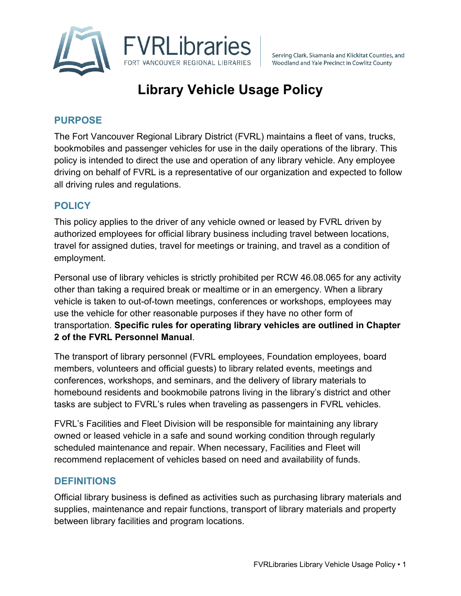

Serving Clark, Skamania and Klickitat Counties, and Woodland and Yale Precinct in Cowlitz County

# **Library Vehicle Usage Policy**

# **PURPOSE**

The Fort Vancouver Regional Library District (FVRL) maintains a fleet of vans, trucks, bookmobiles and passenger vehicles for use in the daily operations of the library. This policy is intended to direct the use and operation of any library vehicle. Any employee driving on behalf of FVRL is a representative of our organization and expected to follow all driving rules and regulations.

## **POLICY**

This policy applies to the driver of any vehicle owned or leased by FVRL driven by authorized employees for official library business including travel between locations, travel for assigned duties, travel for meetings or training, and travel as a condition of employment.

Personal use of library vehicles is strictly prohibited per RCW 46.08.065 for any activity other than taking a required break or mealtime or in an emergency. When a library vehicle is taken to out-of-town meetings, conferences or workshops, employees may use the vehicle for other reasonable purposes if they have no other form of transportation. **Specific rules for operating library vehicles are outlined in Chapter 2 of the FVRL Personnel Manual**.

The transport of library personnel (FVRL employees, Foundation employees, board members, volunteers and official guests) to library related events, meetings and conferences, workshops, and seminars, and the delivery of library materials to homebound residents and bookmobile patrons living in the library's district and other tasks are subject to FVRL's rules when traveling as passengers in FVRL vehicles.

FVRL's Facilities and Fleet Division will be responsible for maintaining any library owned or leased vehicle in a safe and sound working condition through regularly scheduled maintenance and repair. When necessary, Facilities and Fleet will recommend replacement of vehicles based on need and availability of funds.

#### **DEFINITIONS**

Official library business is defined as activities such as purchasing library materials and supplies, maintenance and repair functions, transport of library materials and property between library facilities and program locations.